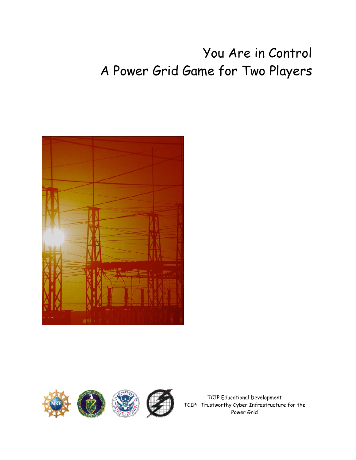# You Are in Control A Power Grid Game for Two Players





TCIP Educational Development TCIP: Trustworthy Cyber Infrastructure for the Power Grid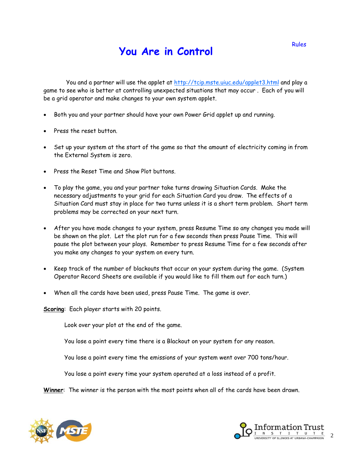#### **You Are in Control**

You and a partner will use the applet at http://tcip.mste.uiuc.edu/applet3.html and play a game to see who is better at controlling unexpected situations that may occur . Each of you will be a grid operator and make changes to your own system applet.

- Both you and your partner should have your own Power Grid applet up and running.
- Press the reset button.
- Set up your system at the start of the game so that the amount of electricity coming in from the External System is zero.
- Press the Reset Time and Show Plot buttons.
- To play the game, you and your partner take turns drawing Situation Cards. Make the necessary adjustments to your grid for each Situation Card you draw. The effects of a Situation Card must stay in place for two turns unless it is a short term problem. Short term problems may be corrected on your next turn.
- After you have made changes to your system, press Resume Time so any changes you made will be shown on the plot. Let the plot run for a few seconds then press Pause Time. This will pause the plot between your plays. Remember to press Resume Time for a few seconds after you make any changes to your system on every turn.
- Keep track of the number of blackouts that occur on your system during the game. (System Operator Record Sheets are available if you would like to fill them out for each turn.)
- When all the cards have been used, press Pause Time. The game is over.

**Scoring**: Each player starts with 20 points.

Look over your plot at the end of the game.

You lose a point every time there is a Blackout on your system for any reason.

You lose a point every time the emissions of your system went over 700 tons/hour.

You lose a point every time your system operated at a loss instead of a profit.

**Winner**: The winner is the person with the most points when all of the cards have been drawn.



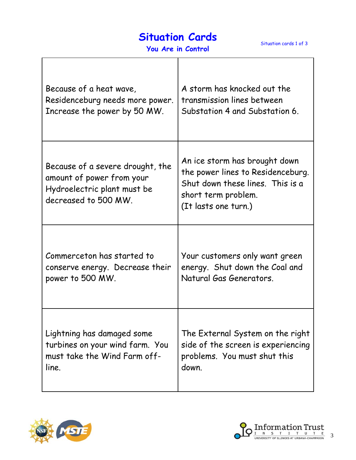## **Situation Cards**

Ē

| You Are in Control |
|--------------------|
|--------------------|

| Because of a heat wave,                                                                                              | A storm has knocked out the                                                                                                                           |
|----------------------------------------------------------------------------------------------------------------------|-------------------------------------------------------------------------------------------------------------------------------------------------------|
| Residenceburg needs more power.                                                                                      | transmission lines between                                                                                                                            |
| Increase the power by 50 MW.                                                                                         | Substation 4 and Substation 6.                                                                                                                        |
| Because of a severe drought, the<br>amount of power from your<br>Hydroelectric plant must be<br>decreased to 500 MW. | An ice storm has brought down<br>the power lines to Residenceburg.<br>Shut down these lines. This is a<br>short term problem.<br>(It lasts one turn.) |
| Commerceton has started to                                                                                           | Your customers only want green                                                                                                                        |
| conserve energy. Decrease their                                                                                      | energy. Shut down the Coal and                                                                                                                        |
| power to 500 MW.                                                                                                     | Natural Gas Generators.                                                                                                                               |
| Lightning has damaged some                                                                                           | The External System on the right                                                                                                                      |
| turbines on your wind farm. You                                                                                      | side of the screen is experiencing                                                                                                                    |
| must take the Wind Farm off-                                                                                         | problems. You must shut this                                                                                                                          |
| line.                                                                                                                | down.                                                                                                                                                 |



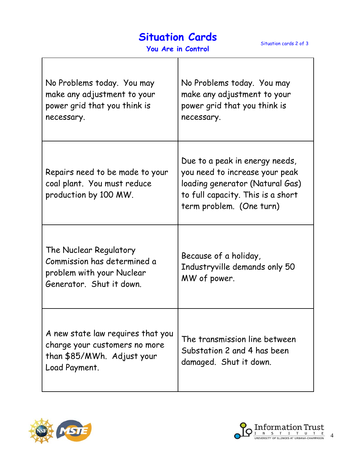## **Situation Cards**

| No Problems today. You may<br>make any adjustment to your<br>power grid that you think is<br>necessary.           | No Problems today. You may<br>make any adjustment to your<br>power grid that you think is<br>necessary.                                                              |
|-------------------------------------------------------------------------------------------------------------------|----------------------------------------------------------------------------------------------------------------------------------------------------------------------|
| Repairs need to be made to your<br>coal plant. You must reduce<br>production by 100 MW.                           | Due to a peak in energy needs,<br>you need to increase your peak<br>loading generator (Natural Gas)<br>to full capacity. This is a short<br>term problem. (One turn) |
| The Nuclear Regulatory<br>Commission has determined a<br>problem with your Nuclear<br>Generator. Shut it down.    | Because of a holiday,<br>Industryville demands only 50<br>MW of power.                                                                                               |
| A new state law requires that you<br>charge your customers no more<br>than \$85/MWh. Adjust your<br>Load Payment. | The transmission line between<br>Substation 2 and 4 has been<br>damaged. Shut it down.                                                                               |



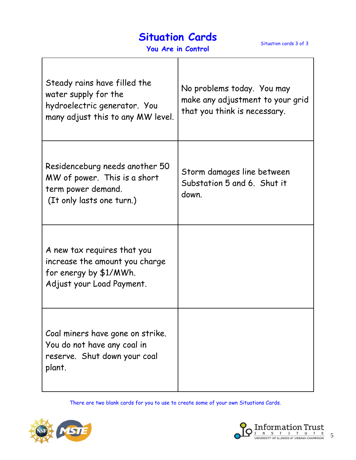## **Situation Cards**

Situation cards 3 of 3

| Steady rains have filled the<br>water supply for the<br>hydroelectric generator. You<br>many adjust this to any MW level. | No problems today. You may<br>make any adjustment to your grid<br>that you think is necessary. |
|---------------------------------------------------------------------------------------------------------------------------|------------------------------------------------------------------------------------------------|
| Residenceburg needs another 50<br>MW of power. This is a short<br>term power demand.<br>(It only lasts one turn.)         | Storm damages line between<br>Substation 5 and 6. Shut it<br>down.                             |
| A new tax requires that you<br>increase the amount you charge<br>for energy by \$1/MWh.<br>Adjust your Load Payment.      |                                                                                                |
| Coal miners have gone on strike.<br>You do not have any coal in<br>reserve. Shut down your coal<br>plant.                 |                                                                                                |

There are two blank cards for you to use to create some of your own Situations Cards.



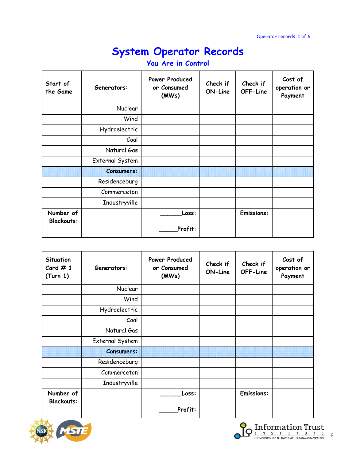| Start of<br>the Game           | Generators:       | <b>Power Produced</b><br>or Consumed<br>(MWs) | Check if<br>ON-Line | Check if<br>OFF-Line | Cost of<br>operation or<br>Payment |
|--------------------------------|-------------------|-----------------------------------------------|---------------------|----------------------|------------------------------------|
|                                | <b>Nuclear</b>    |                                               |                     |                      |                                    |
|                                | Wind              |                                               |                     |                      |                                    |
|                                | Hydroelectric     |                                               |                     |                      |                                    |
|                                | Coal              |                                               |                     |                      |                                    |
|                                | Natural Gas       |                                               |                     |                      |                                    |
|                                | External System   |                                               |                     |                      |                                    |
|                                | <b>Consumers:</b> |                                               |                     |                      |                                    |
|                                | Residenceburg     |                                               |                     |                      |                                    |
|                                | Commerceton       |                                               |                     |                      |                                    |
|                                | Industryville     |                                               |                     |                      |                                    |
| Number of<br><b>Blackouts:</b> |                   | Loss:<br>Profit:                              |                     | <b>Emissions:</b>    |                                    |
|                                |                   |                                               |                     |                      |                                    |

| <b>Situation</b><br>Card $#1$<br>(Turn 1) | Generators:       | <b>Power Produced</b><br>or Consumed<br>(MWs) | Check if<br>ON-Line | Check if<br>OFF-Line | Cost of<br>operation or<br>Payment |
|-------------------------------------------|-------------------|-----------------------------------------------|---------------------|----------------------|------------------------------------|
|                                           | <b>Nuclear</b>    |                                               |                     |                      |                                    |
|                                           | Wind              |                                               |                     |                      |                                    |
|                                           | Hydroelectric     |                                               |                     |                      |                                    |
|                                           | Coal              |                                               |                     |                      |                                    |
|                                           | Natural Gas       |                                               |                     |                      |                                    |
|                                           | External System   |                                               |                     |                      |                                    |
|                                           | <b>Consumers:</b> |                                               |                     |                      |                                    |
|                                           | Residenceburg     |                                               |                     |                      |                                    |
|                                           | Commerceton       |                                               |                     |                      |                                    |
|                                           | Industryville     |                                               |                     |                      |                                    |
| Number of<br><b>Blackouts:</b>            |                   | Loss:                                         |                     | <b>Emissions:</b>    |                                    |
|                                           |                   | Profit:                                       |                     |                      |                                    |



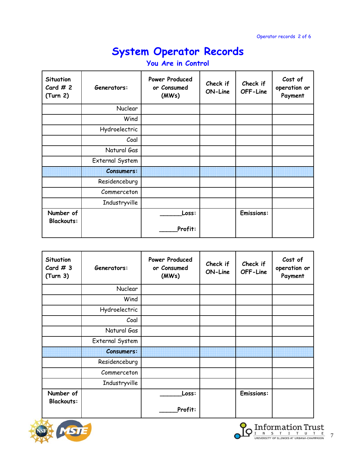| Situation<br>Card $# 2$<br>(Turn 2) | Generators:       | Power Produced<br>or Consumed<br>(MWs) | Check if<br>ON-Line | Check if<br>OFF-Line | Cost of<br>operation or<br>Payment |
|-------------------------------------|-------------------|----------------------------------------|---------------------|----------------------|------------------------------------|
|                                     | Nuclear           |                                        |                     |                      |                                    |
|                                     | Wind              |                                        |                     |                      |                                    |
|                                     | Hydroelectric     |                                        |                     |                      |                                    |
|                                     | Coal              |                                        |                     |                      |                                    |
|                                     | Natural Gas       |                                        |                     |                      |                                    |
|                                     | External System   |                                        |                     |                      |                                    |
|                                     | <b>Consumers:</b> |                                        |                     |                      |                                    |
|                                     | Residenceburg     |                                        |                     |                      |                                    |
|                                     | Commerceton       |                                        |                     |                      |                                    |
|                                     | Industryville     |                                        |                     |                      |                                    |
| Number of<br><b>Blackouts:</b>      |                   | Loss:                                  |                     | <b>Emissions:</b>    |                                    |
|                                     |                   | Profit:                                |                     |                      |                                    |

| Situation<br>Card $#3$<br>(Turn 3) | Generators:       | <b>Power Produced</b><br>or Consumed<br>(MWs) | Check if<br>ON-Line | Check if<br>OFF-Line | Cost of<br>operation or<br>Payment |
|------------------------------------|-------------------|-----------------------------------------------|---------------------|----------------------|------------------------------------|
|                                    | Nuclear           |                                               |                     |                      |                                    |
|                                    | Wind              |                                               |                     |                      |                                    |
|                                    | Hydroelectric     |                                               |                     |                      |                                    |
|                                    | Coal              |                                               |                     |                      |                                    |
|                                    | Natural Gas       |                                               |                     |                      |                                    |
|                                    | External System   |                                               |                     |                      |                                    |
|                                    | <b>Consumers:</b> |                                               |                     |                      |                                    |
|                                    | Residenceburg     |                                               |                     |                      |                                    |
|                                    | Commerceton       |                                               |                     |                      |                                    |
|                                    | Industryville     |                                               |                     |                      |                                    |
| Number of<br><b>Blackouts:</b>     |                   | Loss:                                         |                     | <b>Emissions:</b>    |                                    |
|                                    |                   | Profit:                                       |                     |                      |                                    |



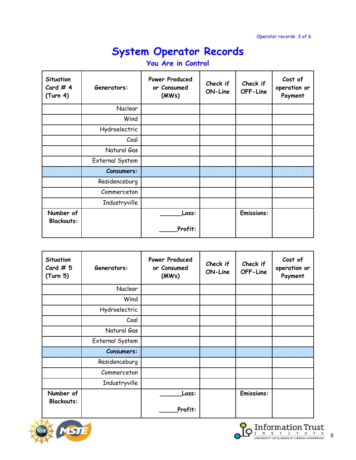| Situation<br>Card # $4$<br>(Turn 4) | Generators:       | Power Produced<br>or Consumed<br>(MWs) | Check if<br>ON-Line | Check if<br>OFF-Line | Cost of<br>operation or<br>Payment |
|-------------------------------------|-------------------|----------------------------------------|---------------------|----------------------|------------------------------------|
|                                     | Nuclear           |                                        |                     |                      |                                    |
|                                     | Wind              |                                        |                     |                      |                                    |
|                                     | Hydroelectric     |                                        |                     |                      |                                    |
|                                     | Coal              |                                        |                     |                      |                                    |
|                                     | Natural Gas       |                                        |                     |                      |                                    |
|                                     | External System   |                                        |                     |                      |                                    |
|                                     | <b>Consumers:</b> |                                        |                     |                      |                                    |
|                                     | Residenceburg     |                                        |                     |                      |                                    |
|                                     | Commerceton       |                                        |                     |                      |                                    |
|                                     | Industryville     |                                        |                     |                      |                                    |
| Number of<br><b>Blackouts:</b>      |                   | Loss:<br>Profit:                       |                     | <b>Emissions:</b>    |                                    |
|                                     |                   |                                        |                     |                      |                                    |

| Situation<br>Card $# 5$<br>(Turn 5) | Generators:       | Power Produced<br>or Consumed<br>(MWs) | Check if<br>ON-Line | Check if<br>OFF-Line | Cost of<br>operation or<br>Payment |
|-------------------------------------|-------------------|----------------------------------------|---------------------|----------------------|------------------------------------|
|                                     | <b>Nuclear</b>    |                                        |                     |                      |                                    |
|                                     | Wind              |                                        |                     |                      |                                    |
|                                     | Hydroelectric     |                                        |                     |                      |                                    |
|                                     | Coal              |                                        |                     |                      |                                    |
|                                     | Natural Gas       |                                        |                     |                      |                                    |
|                                     | External System   |                                        |                     |                      |                                    |
|                                     | <b>Consumers:</b> |                                        |                     |                      |                                    |
|                                     | Residenceburg     |                                        |                     |                      |                                    |
|                                     | Commerceton       |                                        |                     |                      |                                    |
|                                     | Industryville     |                                        |                     |                      |                                    |
| Number of<br><b>Blackouts:</b>      |                   | Loss:                                  |                     | <b>Emissions:</b>    |                                    |
|                                     |                   | Profit:                                |                     |                      |                                    |



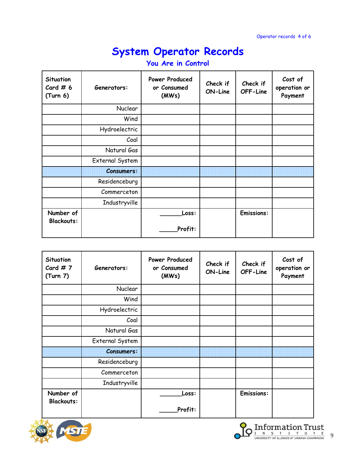| Situation<br>Card # $6$<br>(Turn 6) | Generators:       | Power Produced<br>or Consumed<br>(MWs) | Check if<br>ON-Line | Check if<br>OFF-Line | Cost of<br>operation or<br>Payment |
|-------------------------------------|-------------------|----------------------------------------|---------------------|----------------------|------------------------------------|
|                                     | Nuclear           |                                        |                     |                      |                                    |
|                                     | Wind              |                                        |                     |                      |                                    |
|                                     | Hydroelectric     |                                        |                     |                      |                                    |
|                                     | Coal              |                                        |                     |                      |                                    |
|                                     | Natural Gas       |                                        |                     |                      |                                    |
|                                     | External System   |                                        |                     |                      |                                    |
|                                     | <b>Consumers:</b> |                                        |                     |                      |                                    |
|                                     | Residenceburg     |                                        |                     |                      |                                    |
|                                     | Commerceton       |                                        |                     |                      |                                    |
|                                     | Industryville     |                                        |                     |                      |                                    |
| Number of<br><b>Blackouts:</b>      |                   | Loss:                                  |                     | <b>Emissions:</b>    |                                    |
|                                     |                   | Profit:                                |                     |                      |                                    |

| <b>Situation</b><br>Card # $7$<br>(Turn 7) | Generators:       | <b>Power Produced</b><br>or Consumed<br>(MWs) | Check if<br>ON-Line | Check if<br>OFF-Line | Cost of<br>operation or<br>Payment |
|--------------------------------------------|-------------------|-----------------------------------------------|---------------------|----------------------|------------------------------------|
|                                            | <b>Nuclear</b>    |                                               |                     |                      |                                    |
|                                            | Wind              |                                               |                     |                      |                                    |
|                                            | Hydroelectric     |                                               |                     |                      |                                    |
|                                            | Coal              |                                               |                     |                      |                                    |
|                                            | Natural Gas       |                                               |                     |                      |                                    |
|                                            | External System   |                                               |                     |                      |                                    |
|                                            | <b>Consumers:</b> |                                               |                     |                      |                                    |
|                                            | Residenceburg     |                                               |                     |                      |                                    |
|                                            | Commerceton       |                                               |                     |                      |                                    |
|                                            | Industryville     |                                               |                     |                      |                                    |
| Number of<br><b>Blackouts:</b>             |                   | Loss:                                         |                     | <b>Emissions:</b>    |                                    |
|                                            |                   | Profit:                                       |                     |                      |                                    |



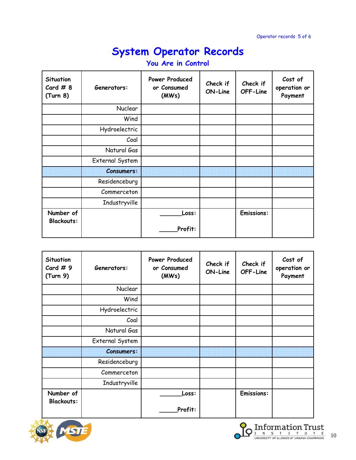| Situation<br>Card $#8$<br>(Turn 8) | Generators:       | Power Produced<br>or Consumed<br>(MWs) | Check if<br>ON-Line | Check if<br>OFF-Line | Cost of<br>operation or<br>Payment |
|------------------------------------|-------------------|----------------------------------------|---------------------|----------------------|------------------------------------|
|                                    | <b>Nuclear</b>    |                                        |                     |                      |                                    |
|                                    | Wind              |                                        |                     |                      |                                    |
|                                    | Hydroelectric     |                                        |                     |                      |                                    |
|                                    | Coal              |                                        |                     |                      |                                    |
|                                    | Natural Gas       |                                        |                     |                      |                                    |
|                                    | External System   |                                        |                     |                      |                                    |
|                                    | <b>Consumers:</b> |                                        |                     |                      |                                    |
|                                    | Residenceburg     |                                        |                     |                      |                                    |
|                                    | Commerceton       |                                        |                     |                      |                                    |
|                                    | Industryville     |                                        |                     |                      |                                    |
| Number of<br><b>Blackouts:</b>     |                   | Loss:<br>Profit:                       |                     | <b>Emissions:</b>    |                                    |
|                                    |                   |                                        |                     |                      |                                    |

| <b>Situation</b><br>Card $# 9$<br>(Turn 9) | Generators:       | <b>Power Produced</b><br>or Consumed<br>(MWs) | Check if<br>ON-Line | Check if<br>OFF-Line | Cost of<br>operation or<br>Payment |
|--------------------------------------------|-------------------|-----------------------------------------------|---------------------|----------------------|------------------------------------|
|                                            | <b>Nuclear</b>    |                                               |                     |                      |                                    |
|                                            | Wind              |                                               |                     |                      |                                    |
|                                            | Hydroelectric     |                                               |                     |                      |                                    |
|                                            | Coal              |                                               |                     |                      |                                    |
|                                            | Natural Gas       |                                               |                     |                      |                                    |
|                                            | External System   |                                               |                     |                      |                                    |
|                                            | <b>Consumers:</b> |                                               |                     |                      |                                    |
|                                            | Residenceburg     |                                               |                     |                      |                                    |
|                                            | Commerceton       |                                               |                     |                      |                                    |
|                                            | Industryville     |                                               |                     |                      |                                    |
| Number of<br><b>Blackouts:</b>             |                   | Loss:                                         |                     | <b>Emissions:</b>    |                                    |
|                                            |                   | Profit:                                       |                     |                      |                                    |



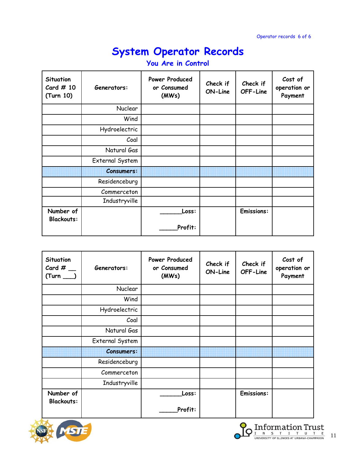| Generators:       | Power Produced<br>or Consumed<br>(MWs) | Check if<br>ON-Line | Check if<br>OFF-Line | Cost of<br>operation or<br>Payment |
|-------------------|----------------------------------------|---------------------|----------------------|------------------------------------|
| Nuclear           |                                        |                     |                      |                                    |
| Wind              |                                        |                     |                      |                                    |
| Hydroelectric     |                                        |                     |                      |                                    |
| Coal              |                                        |                     |                      |                                    |
| Natural Gas       |                                        |                     |                      |                                    |
| External System   |                                        |                     |                      |                                    |
| <b>Consumers:</b> |                                        |                     |                      |                                    |
| Residenceburg     |                                        |                     |                      |                                    |
| Commerceton       |                                        |                     |                      |                                    |
| Industryville     |                                        |                     |                      |                                    |
|                   | Loss:<br>Profit:                       |                     | <b>Emissions:</b>    |                                    |
|                   |                                        |                     |                      |                                    |

| Situation<br>Card $#$<br>$(Turn$ <sub>___</sub> | Generators:       | Power Produced<br>or Consumed<br>(MWs) | Check if<br>ON-Line | Check if<br>OFF-Line | Cost of<br>operation or<br>Payment |
|-------------------------------------------------|-------------------|----------------------------------------|---------------------|----------------------|------------------------------------|
|                                                 | Nuclear           |                                        |                     |                      |                                    |
|                                                 | Wind              |                                        |                     |                      |                                    |
|                                                 | Hydroelectric     |                                        |                     |                      |                                    |
|                                                 | Coal              |                                        |                     |                      |                                    |
|                                                 | Natural Gas       |                                        |                     |                      |                                    |
|                                                 | External System   |                                        |                     |                      |                                    |
|                                                 | <b>Consumers:</b> |                                        |                     |                      |                                    |
|                                                 | Residenceburg     |                                        |                     |                      |                                    |
|                                                 | Commerceton       |                                        |                     |                      |                                    |
|                                                 | Industryville     |                                        |                     |                      |                                    |
| Number of<br><b>Blackouts:</b>                  |                   | Loss:<br>Profit:                       |                     | <b>Emissions:</b>    |                                    |